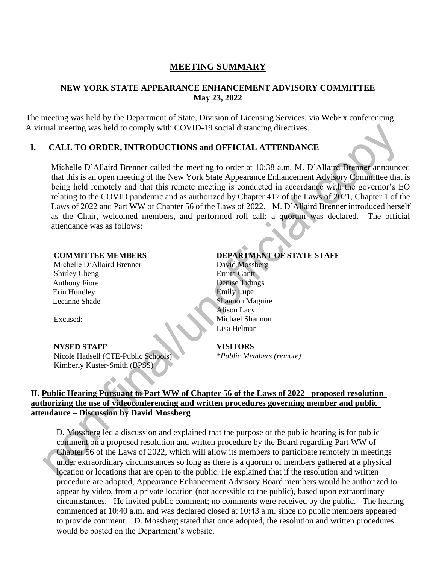# **MEETING SUMMARY**

### **NEW YORK STATE APPEARANCE ENHANCEMENT ADVISORY COMMITTEE May 23, 2022**

The meeting was held by the Department of State, Division of Licensing Services, via WebEx conferencing A virtual meeting was held to comply with COVID-19 social distancing directives.

### **I. CALL TO ORDER, INTRODUCTIONS and OFFICIAL ATTENDANCE**

Michelle D'Allaird Brenner called the meeting to order at 10:38 a.m. M. D'Allaird Brenner announced that this is an open meeting of the New York State Appearance Enhancement Advisory Committee that is being held remotely and that this remote meeting is conducted in accordance with the governor's EO relating to the COVID pandemic and as authorized by Chapter 417 of the Laws of 2021, Chapter 1 of the Laws of 2022 and Part WW of Chapter 56 of the Laws of 2022. M. D'Allaird Brenner introduced herself as the Chair, welcomed members, and performed roll call; a quorum was declared. The official attendance was as follows:

#### **COMMITTEE MEMBERS**

Michelle D'Allaird Brenner Shirley Cheng Anthony Fiore Erin Hundley Leeanne Shade

Excused:

#### **NYSED STAFF**

Nicole Hadsell (CTE-Public Schools) Kimberly Kuster-Smith (BPSS)

## **DEPARTMENT OF STATE STAFF**

David Mossberg Ernita Gantt Denise Tidings Emily Lupe Shannon Maguire Alison Lacy Michael Shannon Lisa Helmar

#### **VISITORS**

*\*Public Members (remote)*

## **II. Public Hearing Pursuant to Part WW of Chapter 56 of the Laws of 2022 –proposed resolution authorizing the use of videoconferencing and written procedures governing member and public attendance – Discussion by David Mossberg**

D. Mossberg led a discussion and explained that the purpose of the public hearing is for public comment on a proposed resolution and written procedure by the Board regarding Part WW of Chapter 56 of the Laws of 2022, which will allow its members to participate remotely in meetings under extraordinary circumstances so long as there is a quorum of members gathered at a physical location or locations that are open to the public. He explained that if the resolution and written procedure are adopted, Appearance Enhancement Advisory Board members would be authorized to appear by video, from a private location (not accessible to the public), based upon extraordinary circumstances. He invited public comment; no comments were received by the public. The hearing commenced at 10:40 a.m. and was declared closed at 10:43 a.m. since no public members appeared to provide comment. D. Mossberg stated that once adopted, the resolution and written procedures would be posted on the Department's website.